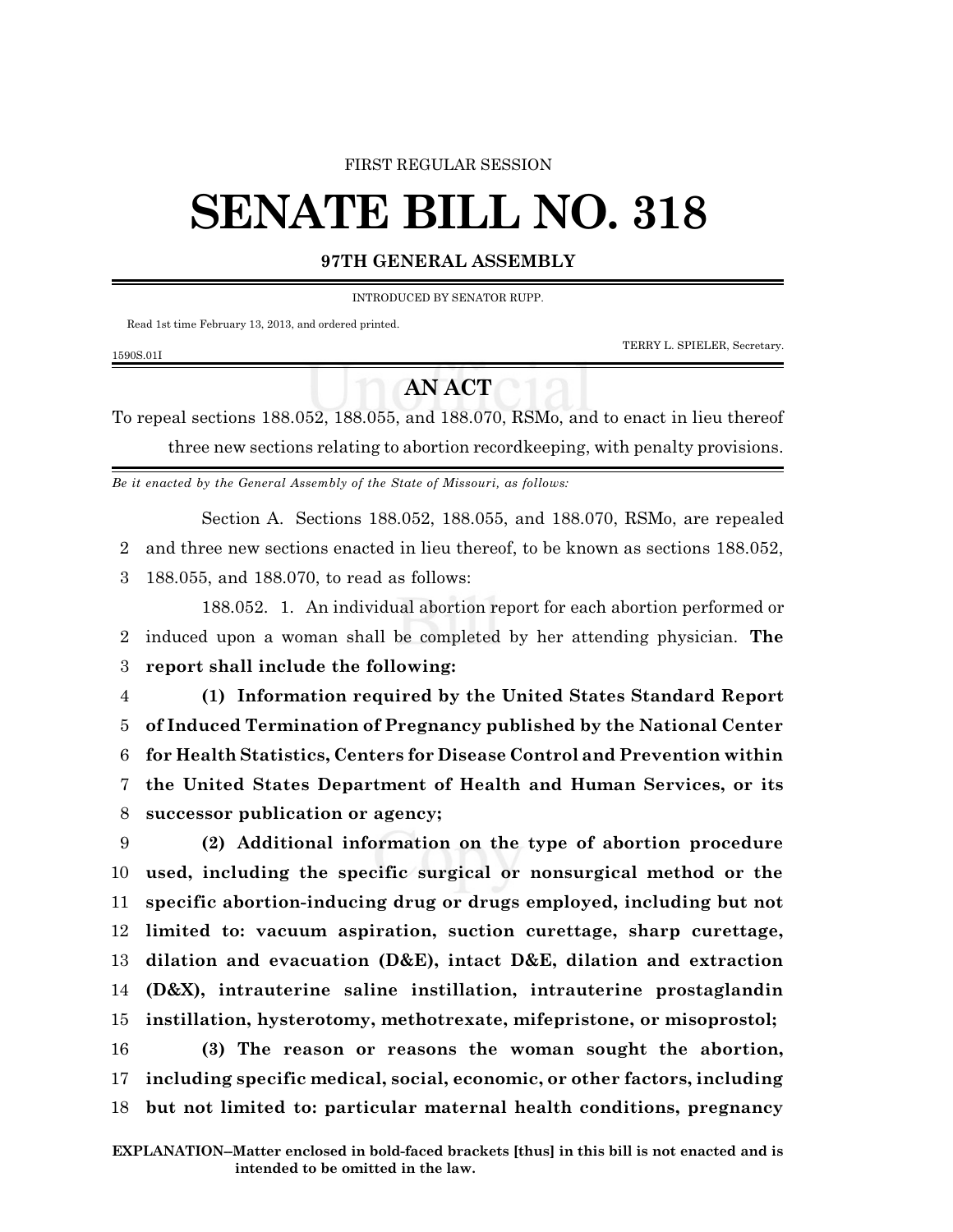## FIRST REGULAR SESSION

## **SENATE BILL NO. 318**

## **97TH GENERAL ASSEMBLY**

INTRODUCED BY SENATOR RUPP.

Read 1st time February 13, 2013, and ordered printed.

1590S.01I

TERRY L. SPIELER, Secretary.

## **AN ACT**

To repeal sections 188.052, 188.055, and 188.070, RSMo, and to enact in lieu thereof three new sections relating to abortion recordkeeping, with penalty provisions.

*Be it enacted by the General Assembly of the State of Missouri, as follows:*

Section A. Sections 188.052, 188.055, and 188.070, RSMo, are repealed

2 and three new sections enacted in lieu thereof, to be known as sections 188.052,

3 188.055, and 188.070, to read as follows:

188.052. 1. An individual abortion report for each abortion performed or 2 induced upon a woman shall be completed by her attending physician. **The** 3 **report shall include the following:**

 **(1) Information required by the United States Standard Report of Induced Termination of Pregnancy published by the National Center for Health Statistics, Centers for Disease Control and Prevention within the United States Department of Health and Human Services, or its successor publication or agency;**

 **(2) Additional information on the type of abortion procedure used, including the specific surgical or nonsurgical method or the specific abortion-inducing drug or drugs employed, including but not limited to: vacuum aspiration, suction curettage, sharp curettage, dilation and evacuation (D&E), intact D&E, dilation and extraction (D&X), intrauterine saline instillation, intrauterine prostaglandin instillation, hysterotomy, methotrexate, mifepristone, or misoprostol; (3) The reason or reasons the woman sought the abortion, including specific medical, social, economic, or other factors, including**

18 **but not limited to: particular maternal health conditions, pregnancy**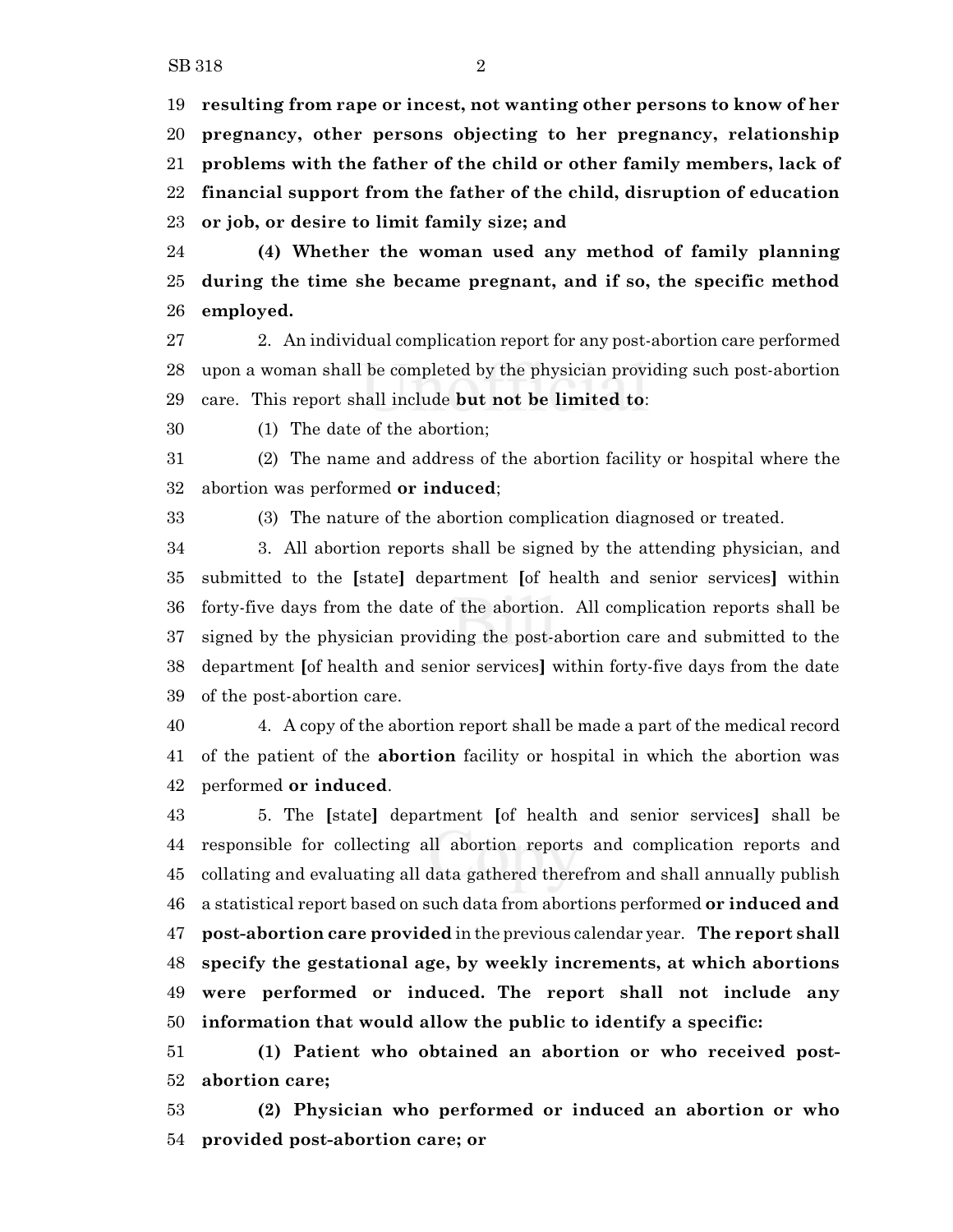**resulting from rape or incest, not wanting other persons to know of her pregnancy, other persons objecting to her pregnancy, relationship problems with the father of the child or other family members, lack of financial support from the father of the child, disruption of education or job, or desire to limit family size; and**

 **(4) Whether the woman used any method of family planning during the time she became pregnant, and if so, the specific method employed.**

 2. An individual complication report for any post-abortion care performed upon a woman shall be completed by the physician providing such post-abortion care. This report shall include **but not be limited to**:

(1) The date of the abortion;

 (2) The name and address of the abortion facility or hospital where the abortion was performed **or induced**;

(3) The nature of the abortion complication diagnosed or treated.

 3. All abortion reports shall be signed by the attending physician, and submitted to the **[**state**]** department **[**of health and senior services**]** within forty-five days from the date of the abortion. All complication reports shall be signed by the physician providing the post-abortion care and submitted to the department **[**of health and senior services**]** within forty-five days from the date of the post-abortion care.

 4. A copy of the abortion report shall be made a part of the medical record of the patient of the **abortion** facility or hospital in which the abortion was performed **or induced**.

 5. The **[**state**]** department **[**of health and senior services**]** shall be responsible for collecting all abortion reports and complication reports and collating and evaluating all data gathered therefrom and shall annually publish a statistical report based on such data from abortions performed **or induced and post-abortion care provided** in the previous calendar year. **The report shall specify the gestational age, by weekly increments, at which abortions were performed or induced. The report shall not include any information that would allow the public to identify a specific:**

 **(1) Patient who obtained an abortion or who received post-abortion care;**

 **(2) Physician who performed or induced an abortion or who provided post-abortion care; or**